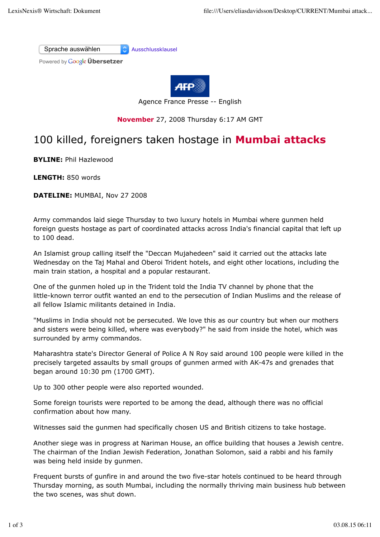



Agence France Presse -- English

## **November** 27, 2008 Thursday 6:17 AM GMT

## 100 killed, foreigners taken hostage in **Mumbai attacks**

**BYLINE:** Phil Hazlewood

**LENGTH:** 850 words

**DATELINE:** MUMBAI, Nov 27 2008

Army commandos laid siege Thursday to two luxury hotels in Mumbai where gunmen held foreign guests hostage as part of coordinated attacks across India's financial capital that left up to 100 dead.

An Islamist group calling itself the "Deccan Mujahedeen" said it carried out the attacks late Wednesday on the Taj Mahal and Oberoi Trident hotels, and eight other locations, including the main train station, a hospital and a popular restaurant.

One of the gunmen holed up in the Trident told the India TV channel by phone that the little-known terror outfit wanted an end to the persecution of Indian Muslims and the release of all fellow Islamic militants detained in India.

"Muslims in India should not be persecuted. We love this as our country but when our mothers and sisters were being killed, where was everybody?" he said from inside the hotel, which was surrounded by army commandos.

Maharashtra state's Director General of Police A N Roy said around 100 people were killed in the precisely targeted assaults by small groups of gunmen armed with AK-47s and grenades that began around 10:30 pm (1700 GMT).

Up to 300 other people were also reported wounded.

Some foreign tourists were reported to be among the dead, although there was no official confirmation about how many.

Witnesses said the gunmen had specifically chosen US and British citizens to take hostage.

Another siege was in progress at Nariman House, an office building that houses a Jewish centre. The chairman of the Indian Jewish Federation, Jonathan Solomon, said a rabbi and his family was being held inside by gunmen.

Frequent bursts of gunfire in and around the two five-star hotels continued to be heard through Thursday morning, as south Mumbai, including the normally thriving main business hub between the two scenes, was shut down.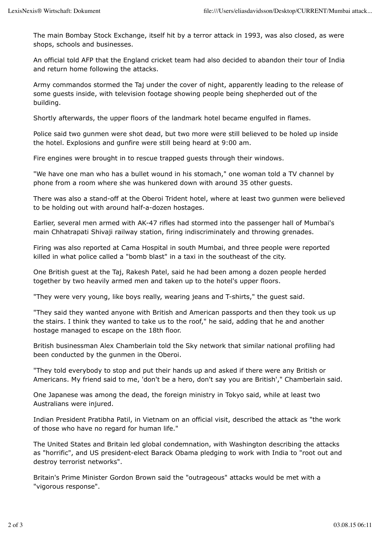The main Bombay Stock Exchange, itself hit by a terror attack in 1993, was also closed, as were shops, schools and businesses.

An official told AFP that the England cricket team had also decided to abandon their tour of India and return home following the attacks.

Army commandos stormed the Taj under the cover of night, apparently leading to the release of some guests inside, with television footage showing people being shepherded out of the building.

Shortly afterwards, the upper floors of the landmark hotel became engulfed in flames.

Police said two gunmen were shot dead, but two more were still believed to be holed up inside the hotel. Explosions and gunfire were still being heard at 9:00 am.

Fire engines were brought in to rescue trapped guests through their windows.

"We have one man who has a bullet wound in his stomach," one woman told a TV channel by phone from a room where she was hunkered down with around 35 other guests.

There was also a stand-off at the Oberoi Trident hotel, where at least two gunmen were believed to be holding out with around half-a-dozen hostages.

Earlier, several men armed with AK-47 rifles had stormed into the passenger hall of Mumbai's main Chhatrapati Shivaji railway station, firing indiscriminately and throwing grenades.

Firing was also reported at Cama Hospital in south Mumbai, and three people were reported killed in what police called a "bomb blast" in a taxi in the southeast of the city.

One British guest at the Taj, Rakesh Patel, said he had been among a dozen people herded together by two heavily armed men and taken up to the hotel's upper floors.

"They were very young, like boys really, wearing jeans and T-shirts," the guest said.

"They said they wanted anyone with British and American passports and then they took us up the stairs. I think they wanted to take us to the roof," he said, adding that he and another hostage managed to escape on the 18th floor.

British businessman Alex Chamberlain told the Sky network that similar national profiling had been conducted by the gunmen in the Oberoi.

"They told everybody to stop and put their hands up and asked if there were any British or Americans. My friend said to me, 'don't be a hero, don't say you are British'," Chamberlain said.

One Japanese was among the dead, the foreign ministry in Tokyo said, while at least two Australians were injured.

Indian President Pratibha Patil, in Vietnam on an official visit, described the attack as "the work of those who have no regard for human life."

The United States and Britain led global condemnation, with Washington describing the attacks as "horrific", and US president-elect Barack Obama pledging to work with India to "root out and destroy terrorist networks".

Britain's Prime Minister Gordon Brown said the "outrageous" attacks would be met with a "vigorous response".